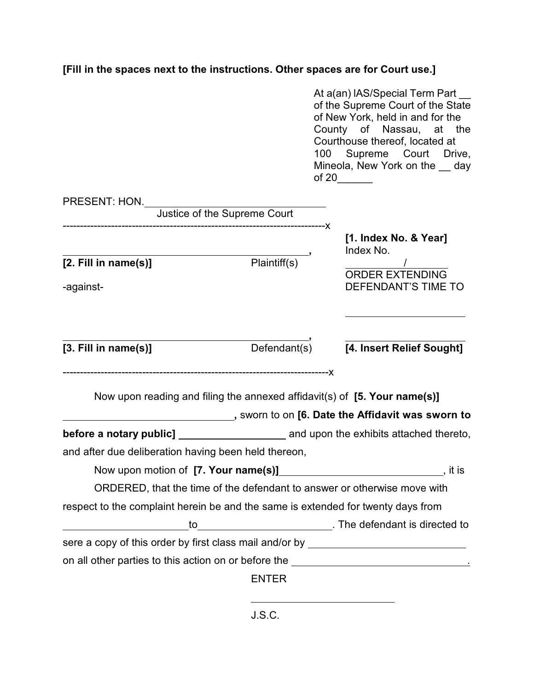## **[Fill in the spaces next to the instructions. Other spaces are for Court use.]**

|                                                                                   |                                                        |  | At a(an) IAS/Special Term Part<br>of the Supreme Court of the State<br>of New York, held in and for the<br>County of Nassau, at the<br>Courthouse thereof, located at<br>100 Supreme Court Drive,<br>Mineola, New York on the __ day<br>of 20 $\frac{1}{\sqrt{1-\frac{1}{2}}\sqrt{1-\frac{1}{2}}\left(1-\frac{1}{2}\right)}$ |
|-----------------------------------------------------------------------------------|--------------------------------------------------------|--|------------------------------------------------------------------------------------------------------------------------------------------------------------------------------------------------------------------------------------------------------------------------------------------------------------------------------|
| PRESENT: HON.<br>Justice of the Supreme Court                                     |                                                        |  |                                                                                                                                                                                                                                                                                                                              |
|                                                                                   |                                                        |  |                                                                                                                                                                                                                                                                                                                              |
| [2. Fill in name(s)]                                                              | $\overline{\overline{\mathsf{Plaintiff}}(\mathsf{s})}$ |  | [1. Index No. & Year]<br>Index No.                                                                                                                                                                                                                                                                                           |
| -against-                                                                         |                                                        |  | <b>ORDER EXTENDING</b><br>DEFENDANT'S TIME TO                                                                                                                                                                                                                                                                                |
| [3. Fill in name(s)]                                                              |                                                        |  | Defendant(s) 74. Insert Relief Sought]                                                                                                                                                                                                                                                                                       |
| Now upon reading and filing the annexed affidavit(s) of [5. Your name(s)]         |                                                        |  |                                                                                                                                                                                                                                                                                                                              |
|                                                                                   |                                                        |  |                                                                                                                                                                                                                                                                                                                              |
| and after due deliberation having been held thereon,                              |                                                        |  |                                                                                                                                                                                                                                                                                                                              |
| Now upon motion of [7. Your name(s)]                                              |                                                        |  |                                                                                                                                                                                                                                                                                                                              |
| ORDERED, that the time of the defendant to answer or otherwise move with          |                                                        |  |                                                                                                                                                                                                                                                                                                                              |
| respect to the complaint herein be and the same is extended for twenty days from  |                                                        |  |                                                                                                                                                                                                                                                                                                                              |
|                                                                                   |                                                        |  |                                                                                                                                                                                                                                                                                                                              |
| sere a copy of this order by first class mail and/or by ________________________  |                                                        |  |                                                                                                                                                                                                                                                                                                                              |
| on all other parties to this action on or before the ____________________________ |                                                        |  |                                                                                                                                                                                                                                                                                                                              |
|                                                                                   | <b>ENTER</b>                                           |  |                                                                                                                                                                                                                                                                                                                              |
|                                                                                   |                                                        |  |                                                                                                                                                                                                                                                                                                                              |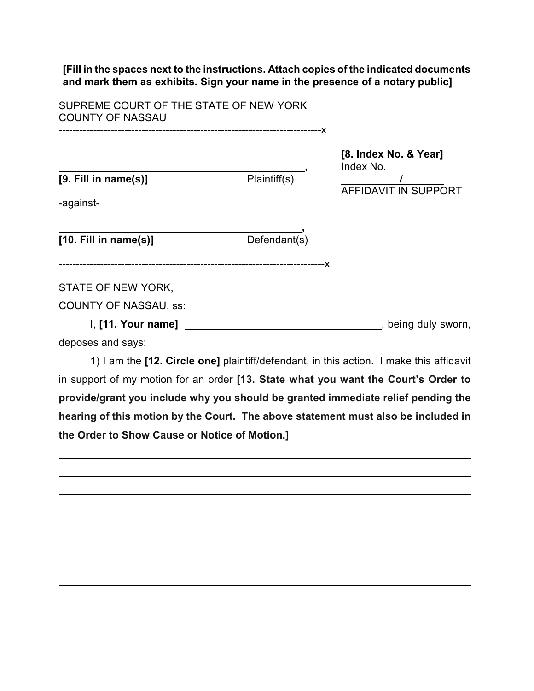**[Fill in the spaces next to the instructions. Attach copies of the indicated documents and mark them as exhibits. Sign your name in the presence of a notary public]**

SUPREME COURT OF THE STATE OF NEW YORK COUNTY OF NASSAU

----------------------------------------------------------------------------x

**[8. Index No. & Year] Plaintiff(s)**, Index No. AFFIDAVIT IN SUPPORT

-against-

 **, [10. Fill in name(s)]** Defendant(s)

-----------------------------------------------------------------------------x

STATE OF NEW YORK,

**[9. Fill in name(s)]** 

COUNTY OF NASSAU, ss:

I, **[11. Your name]** , being duly sworn, deposes and says:

1) I am the **[12. Circle one]** plaintiff/defendant, in this action. I make this affidavit in support of my motion for an order **[13. State what you want the Court's Order to provide/grant you include why you should be granted immediate relief pending the hearing of this motion by the Court. The above statement must also be included in the Order to Show Cause or Notice of Motion.]**

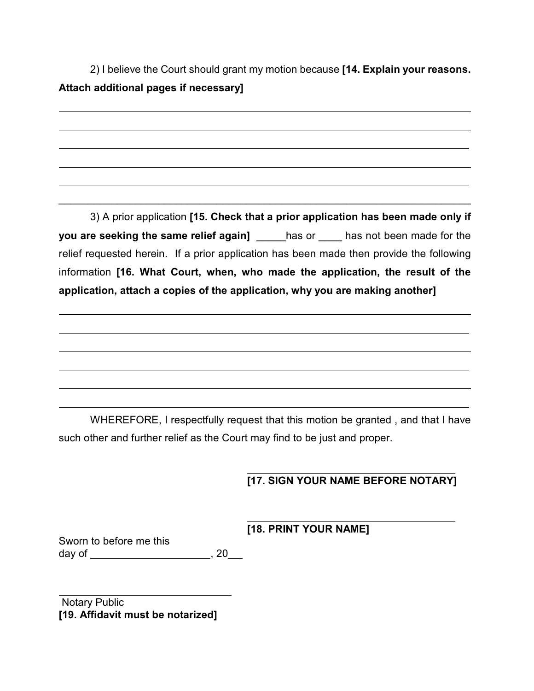2) I believe the Court should grant my motion because **[14. Explain your reasons. Attach additional pages if necessary]**

3) A prior application **[15. Check that a prior application has been made only if you are seeking the same relief again]** has or \_\_\_\_ has not been made for the relief requested herein. If a prior application has been made then provide the following information **[16. What Court, when, who made the application, the result of the application, attach a copies of the application, why you are making another]**

\_\_\_\_\_\_\_\_\_\_\_\_\_\_\_\_\_\_\_\_\_\_\_\_\_\_\_\_\_\_\_\_\_\_\_\_\_\_\_\_\_\_\_\_\_\_\_\_\_\_\_\_\_\_\_\_\_\_\_\_\_\_\_\_\_\_\_\_\_\_

WHEREFORE, I respectfully request that this motion be granted , and that I have such other and further relief as the Court may find to be just and proper.

## $\overline{a}$ **[17. SIGN YOUR NAME BEFORE NOTARY]**

 $\overline{a}$ **[18. PRINT YOUR NAME]**

Sworn to before me this day of , 20

Notary Public **[19. Affidavit must be notarized]**